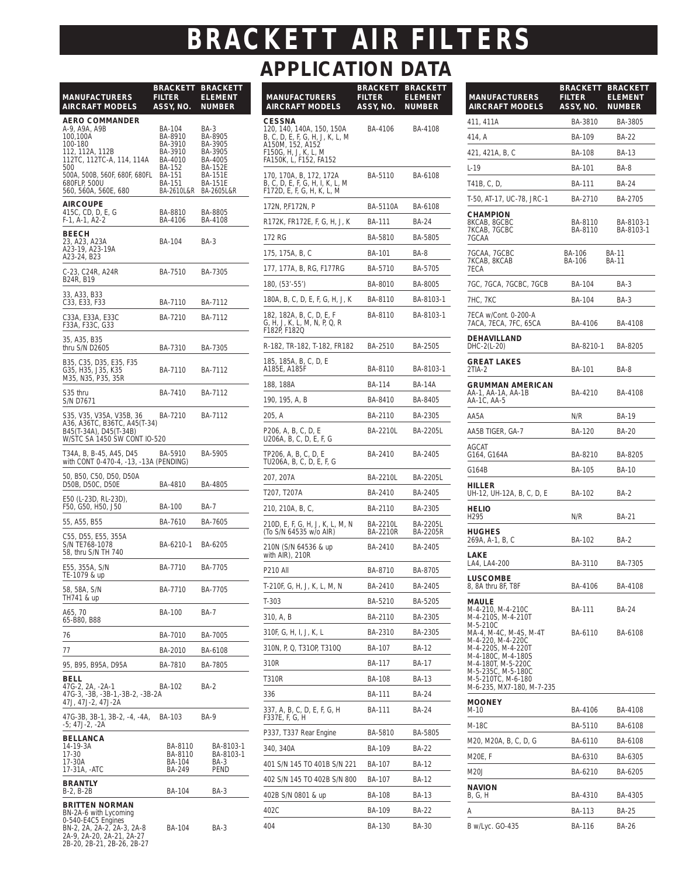## **APPLICATION DATA** *BRACKETT AIR FILTERS*

| <b>MANUFACTURERS</b><br><b>AIRCRAFT MODELS</b>                                                                                                                                                | <b>BRACKETT</b><br><b>FILTER</b><br>ASSY, NO.                                                  | <b>BRACKETT</b><br><b>ELEMENT</b><br><b>NUMBER</b>                                                                   |
|-----------------------------------------------------------------------------------------------------------------------------------------------------------------------------------------------|------------------------------------------------------------------------------------------------|----------------------------------------------------------------------------------------------------------------------|
| <b>AERO COMMANDER</b><br>A-9, A9A, A9B<br>100,100A<br>100-180<br>112, 112A, 112B<br>112TC, 112TC-A, 114, 114A<br>500<br>500A, 500B, 560F, 680F, 680FL<br>680FLP, 500U<br>560, 560A, 560E, 680 | BA-104<br>BA-8910<br>BA-3910<br>BA-3910<br>BA-4010<br>BA-152<br>BA-151<br>BA-151<br>BA-2610L&R | BA-3<br>BA-8905<br>BA-3905<br>BA-3905<br>BA-4005<br><b>BA-152E</b><br><b>BA-151E</b><br><b>BA-151E</b><br>BA-2605L&R |
| <b>AIRCOUPE</b><br>415C, CD, D, E, G<br>$F-1. A-1. A2-2$                                                                                                                                      | BA-8810<br>BA-4106                                                                             | BA-8805<br>BA-4108                                                                                                   |
| <b>BEECH</b><br>23, A23, A23A<br>A23-19, A23-19A<br>A23-24, B23                                                                                                                               | BA-104                                                                                         | BA-3                                                                                                                 |
| C-23, C24R, A24R<br>B24R, B19                                                                                                                                                                 | BA-7510                                                                                        | BA-7305                                                                                                              |
| 33, A33, B33<br>C33, E33, F33                                                                                                                                                                 | BA-7110                                                                                        | BA-7112                                                                                                              |
| C33A, E33A, E33C<br>F33A, F33C, G33                                                                                                                                                           | BA-7210                                                                                        | BA-7112                                                                                                              |
| 35, A35, B35<br>thru S/N D2605                                                                                                                                                                | BA-7310                                                                                        | BA-7305                                                                                                              |
| B35, C35, D35, E35, F35<br>G35, H35, J35, K35<br>M35, N35, P35, 35R                                                                                                                           | BA-7110                                                                                        | BA-7112                                                                                                              |
| S35 thru<br>S/N D7671                                                                                                                                                                         | BA-7410                                                                                        | BA-7112                                                                                                              |
| S35, V35, V35A, V35B, 36<br>A36, A36TC, B36TC, A45(T-34)<br>B45(T-34A), D45(T-34B)<br>W/STC SA 1450 SW CONT IO-520                                                                            | BA-7210                                                                                        | BA-7112                                                                                                              |
| T34A, B, B-45, A45, D45<br>with CONT 0-470-4, -13, -13A (PENDING)                                                                                                                             | BA-5910                                                                                        | BA-5905                                                                                                              |
| 50, B50, C50, D50, D50A<br>D50B, D50C, D50E                                                                                                                                                   | BA-4810                                                                                        | BA-4805                                                                                                              |
| E50 (L-23D, RL-23D),<br>F50, G50, H50, J50                                                                                                                                                    | BA-100                                                                                         | <b>BA-7</b>                                                                                                          |
| 55, A55, B55                                                                                                                                                                                  | BA-7610                                                                                        | BA-7605                                                                                                              |
| C55, D55, E55, 355A<br>S/N TE768-1078<br>58, thru S/N TH 740                                                                                                                                  | BA-6210-1                                                                                      | BA-6205                                                                                                              |
| E55, 355A, S/N<br>IE-1079 & up                                                                                                                                                                | BA-7710                                                                                        | BA-7705                                                                                                              |
| 58, 58A, S/N<br>TH741 & up                                                                                                                                                                    | BA-7710                                                                                        | BA-7705                                                                                                              |
| A65, 70<br>65-B80, B88                                                                                                                                                                        | <b>BA-100</b>                                                                                  | BA-7                                                                                                                 |
| 76                                                                                                                                                                                            | BA-7010                                                                                        | BA-7005                                                                                                              |
| 77                                                                                                                                                                                            | BA-2010                                                                                        | BA-6108                                                                                                              |
| 95, B95, B95A, D95A                                                                                                                                                                           | BA-7810                                                                                        | BA-7805                                                                                                              |
| BELL<br>47G-2, 2A, -2A-1<br>47G-3, -3B, -3B-1,-3B-2, -3B-2A<br>47J, 47J-2, 47J-2A                                                                                                             | BA-102                                                                                         | <b>BA-2</b>                                                                                                          |
| 47G-3B, 3B-1, 3B-2, -4, -4A,<br>-5; 47J-2, -2A                                                                                                                                                | BA-103                                                                                         | BA-9                                                                                                                 |
| <b>BELLANCA</b><br>14-19-3A<br>17-30<br>17-30A<br>17-31A, -ATC                                                                                                                                | BA-8110<br>BA-8110<br>BA-104<br>BA-249                                                         | BA-8103-1<br>BA-8103-1<br><b>BA-3</b><br>PEND                                                                        |
| <b>BRANTLY</b><br>B-2, B-2B                                                                                                                                                                   | BA-104                                                                                         | BA-3                                                                                                                 |
| <b>BRITTEN NORMAN</b><br>BN-2A-6 with Lycoming<br>0-540-E4C5 Engines<br>BN-2, 2A, 2A-2, 2A-3, 2A-8<br>2A-9, 2A-20, 2A-21, 2A-27                                                               | BA-104                                                                                         | <b>BA-3</b>                                                                                                          |
| 2B-20, 2B-21, 2B-26, 2B-27                                                                                                                                                                    |                                                                                                |                                                                                                                      |

| <b>MANUFACTURERS</b><br><b>AIRCRAFT MODELS</b>                                                                                                      | <b>BRACKETT</b><br>FILTER<br>ASSY, NO. | <b>BRACKETT</b><br><b>ELEMENT</b><br><b>NUMBER</b> |
|-----------------------------------------------------------------------------------------------------------------------------------------------------|----------------------------------------|----------------------------------------------------|
| <b>CESSNA</b><br>120, 140, 140A, 150, 150A<br>B, C, D, E, F, G, H, J, K, L, M<br>A150M, 152, A152<br>F150G, H, J, K, L, M<br>FA150K, L, F152, FA152 | BA-4106                                | BA-4108                                            |
| 170, 170A, B, 172, 172A<br>B, C, D, E, F, G, H, I, K, L, M<br>F172D, E, F, G, H, K, L, M                                                            | BA-5110                                | BA-6108                                            |
| 172N, P,F172N, P                                                                                                                                    | BA-5110A                               | BA-6108                                            |
| R172K, FR172E, F, G, H, J, K                                                                                                                        | <b>BA-111</b>                          | BA-24                                              |
| 172 RG                                                                                                                                              | BA-5810                                | BA-5805                                            |
| 175, 175A, B, C                                                                                                                                     | BA-101                                 | BA-8                                               |
| 177, 177A, B, RG, F177RG                                                                                                                            | BA-5710                                | BA-5705                                            |
| 180, (53'-55')                                                                                                                                      | BA-8010                                | BA-8005                                            |
| 180A, B, C, D, E, F, G, H, J, K                                                                                                                     | BA-8110                                | BA-8103-1                                          |
| 182, 182A, B, C, D, E, F<br>G, H, J, K, L, M, N, P, Q, R<br>F182P, F182Q                                                                            | BA-8110                                | BA-8103-1                                          |
| R-182, TR-182, T-182, FR182                                                                                                                         | BA-2510                                | BA-2505                                            |
| 185, 185A, B, C, D, E<br>A185E, A185F                                                                                                               | BA-8110                                | BA-8103-1                                          |
| 188, 188A                                                                                                                                           | <b>BA-114</b>                          | <b>BA-14A</b>                                      |
| 190, 195, A, B                                                                                                                                      | BA-8410                                | BA-8405                                            |
| 205, A                                                                                                                                              | BA-2110                                | BA-2305                                            |
| P206, A, B, C, D, E<br>U206A, B, C, D, E, F, G                                                                                                      | BA-2210L                               | BA-2205L                                           |
| TP206, A, B, C, D, E<br>TU206A, B, C, D, E, F, G                                                                                                    | BA-2410                                | BA-2405                                            |
| 207, 207A                                                                                                                                           | BA-2210L                               | BA-2205L                                           |
| T207, T207A                                                                                                                                         | BA-2410                                | BA-2405                                            |
| 210, 210A, B, C,                                                                                                                                    | BA-2110                                | BA-2305                                            |
| 210D, E, F, G, H, J, K, L, M, N<br>(To S/N 64535 w/o AIR)                                                                                           | <b>BA-2210L</b><br>BA-2210R            | BA-2205L<br>BA-2205R                               |
| 210N (S/N 64536 & up<br>with AIR), 210R                                                                                                             | BA-2410                                | BA-2405                                            |
| P210 All                                                                                                                                            | BA-8710                                | BA-8705                                            |
| T-210F, G, H, J, K, L, M, N                                                                                                                         | BA-2410                                | BA-2405                                            |
| $T-303$                                                                                                                                             | BA-5210                                | BA-5205                                            |
| 310, A, B                                                                                                                                           | BA-2110                                | BA-2305                                            |
| 310F, G, H, I, J, K, L                                                                                                                              | BA-2310                                | BA-2305                                            |
| 310N, P, Q, T310P, T310Q                                                                                                                            | BA-107                                 | BA-12                                              |
| 310R                                                                                                                                                | BA-117                                 | BA-17                                              |
| T310R                                                                                                                                               | <b>BA-108</b>                          | <b>BA-13</b>                                       |
| 336                                                                                                                                                 | BA-111                                 | BA-24                                              |
| 337, A, B, C, D, E, F, G, H<br>F337E, F, G, H                                                                                                       | BA-111                                 | BA-24                                              |
| P337, T337 Rear Engine                                                                                                                              | BA-5810                                | BA-5805                                            |
| 340, 340A                                                                                                                                           | BA-109                                 | BA-22                                              |
| 401 S/N 145 TO 401B S/N 221                                                                                                                         | BA-107                                 | BA-12                                              |
| 402 S/N 145 TO 402B S/N 800                                                                                                                         | BA-107                                 | BA-12                                              |
| 402B S/N 0801 & up                                                                                                                                  | BA-108                                 | BA-13                                              |
| 402C                                                                                                                                                | BA-109                                 | BA-22                                              |
| 404                                                                                                                                                 | BA-130                                 | BA-30                                              |

| <b>MANUFACTURERS</b><br><b>AIRCRAFT MODELS</b>                                                                                                                                                     | <b>BRACKETT</b><br><b>FILTER</b><br>ASSY, NO. | <b>BRACKETT</b><br><b>ELEMENT</b><br><b>NUMBER</b> |
|----------------------------------------------------------------------------------------------------------------------------------------------------------------------------------------------------|-----------------------------------------------|----------------------------------------------------|
| 411, 411A                                                                                                                                                                                          | BA-3810                                       | BA-3805                                            |
| 414, A                                                                                                                                                                                             | <b>BA-109</b>                                 | <b>BA-22</b>                                       |
| 421, 421A, B, C                                                                                                                                                                                    | <b>BA-108</b>                                 | <b>BA-13</b>                                       |
| L-19                                                                                                                                                                                               | BA-101                                        | BA-8                                               |
| T41B, C, D,                                                                                                                                                                                        | BA-111                                        | <b>BA-24</b>                                       |
| T-50, AT-17, UC-78, JRC-1                                                                                                                                                                          | BA-2710                                       | BA-2705                                            |
| <b>CHAMPION</b><br>8KCAB, 8GCBC<br>7KCAB, 7GCBC<br>7GCAA                                                                                                                                           | BA-8110<br>BA-8110                            | BA-8103-1<br>BA-8103-1                             |
| 7GCAA, 7GCBC<br>7KCAB, 8KCAB<br>7ECA                                                                                                                                                               | BA-106<br>BA-106                              | <b>BA-11</b><br><b>BA-11</b>                       |
| 7GC, 7GCA, 7GCBC, 7GCB                                                                                                                                                                             | BA-104                                        | BA-3                                               |
| 7HC, 7KC                                                                                                                                                                                           | BA-104                                        | BA-3                                               |
| 7ECA w/Cont. 0-200-A<br>7ACA, 7ECA, 7FC, 65CA                                                                                                                                                      | BA-4106                                       | BA-4108                                            |
| <b>DEHAVILLAND</b><br>DHC-2(L-20)                                                                                                                                                                  | BA-8210-1                                     | BA-8205                                            |
| <b>GREAT LAKES</b><br>2TIA-2                                                                                                                                                                       | <b>BA-101</b>                                 | BA-8                                               |
| <b>GRUMMAN AMERICAN</b><br>AA-1, AA-1A, AA-1B<br>AA-1C, AA-5                                                                                                                                       | BA-4210                                       | BA-4108                                            |
| AA5A                                                                                                                                                                                               | N/R                                           | BA-19                                              |
| AA5B TIGER, GA-7                                                                                                                                                                                   | BA-120                                        | <b>BA-20</b>                                       |
| AGCAT<br>G164, G164A                                                                                                                                                                               | BA-8210                                       | BA-8205                                            |
| G164B                                                                                                                                                                                              | <b>BA-105</b>                                 | BA-10                                              |
| HILLER<br>UH-12, UH-12A, B, C, D, E                                                                                                                                                                | BA-102                                        | <b>BA-2</b>                                        |
| <b>HELIO</b><br>H295                                                                                                                                                                               | N/R                                           | BA-21                                              |
| <b>HUGHES</b><br>269A, A-1, B, C                                                                                                                                                                   | BA-102                                        | <b>BA-2</b>                                        |
| LAKE<br>LA4, LA4-200                                                                                                                                                                               | BA-3110                                       | BA-7305                                            |
| LUSCOMBE<br>8, 8A thru 8F, T8F                                                                                                                                                                     | BA-4106                                       | BA-4108                                            |
| <b>MAULE</b><br>M-4-210, M-4-210C<br>M-4-210S, M-4-210T                                                                                                                                            | BA-111                                        | <b>BA-24</b>                                       |
| M-5-210C<br>MA-4, M-4C, M-4S, M-4T<br>M-4-220, M-4-220C<br>M-4-220S, M-4-220T<br>M-4-180C, M-4-180S<br>M-4-180T, M-5-220C<br>M-5-235C, M-5-180C<br>M-5-210TC, M-6-180<br>M-6-235, MX7-180, M-7-235 | BA-6110                                       | BA-6108                                            |
| <b>MOONEY</b><br>M-10                                                                                                                                                                              | BA-4106                                       | BA-4108                                            |
| M-18C                                                                                                                                                                                              | BA-5110                                       | BA-6108                                            |
| M20, M20A, B, C, D, G                                                                                                                                                                              | BA-6110                                       | BA-6108                                            |
| M20E, F                                                                                                                                                                                            | BA-6310                                       | BA-6305                                            |
| M20J                                                                                                                                                                                               | BA-6210                                       | BA-6205                                            |
| <b>NAVION</b><br>B, G, H                                                                                                                                                                           | BA-4310                                       | BA-4305                                            |
| Α                                                                                                                                                                                                  | BA-113                                        | BA-25                                              |
| B w/Lyc. GO-435                                                                                                                                                                                    | BA-116                                        | BA-26                                              |